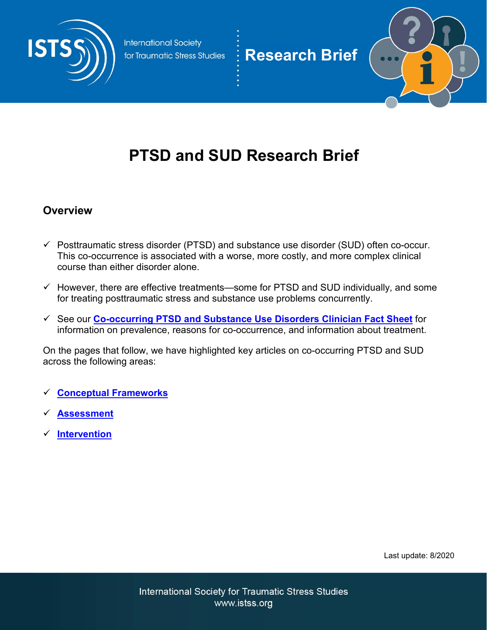

**Research Brief**

# **PTSD and SUD Research Brief**

#### **Overview**

- $\checkmark$  Posttraumatic stress disorder (PTSD) and substance use disorder (SUD) often co-occur. This co-occurrence is associated with a worse, more costly, and more complex clinical course than either disorder alone.
- $\checkmark$  However, there are effective treatments—some for PTSD and SUD individually, and some for treating posttraumatic stress and substance use problems concurrently.
- See our **[Co-occurring PTSD and Substance Use Disorders Clinician Fact Sheet](https://istss.org/getattachment/Public-Resources/Friday-Fast-Facts/Substance-Use-and-Traumatic-Stress/PTSD-and-SUD-Fact-Sheet-FINAL.pdf?lang=en-US)** for information on prevalence, reasons for co-occurrence, and information about treatment.

On the pages that follow, we have highlighted key articles on co-occurring PTSD and SUD across the following areas:

- **[Conceptual Frameworks](#page-1-0)**
- **[Assessment](#page-2-0)**
- **[Intervention](#page-3-0)**

Last update: 8/2020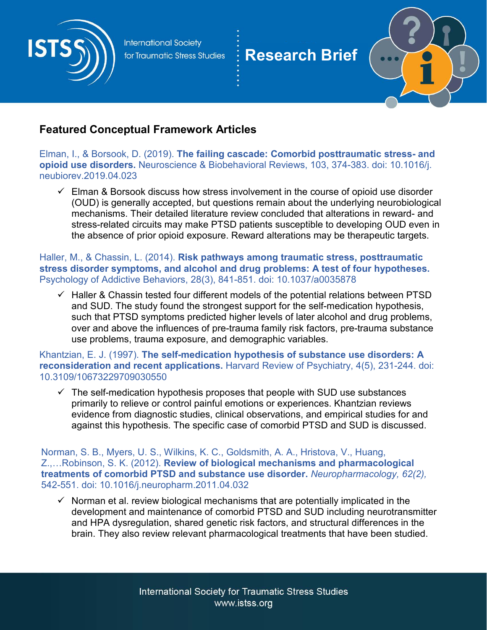<span id="page-1-0"></span>

## **Research Brief**



### **Featured Conceptual Framework Articles**

Elman, I., & Borsook, D. (2019). **The failing cascade: Comorbid posttraumatic stress- and opioid use disorders.** Neuroscience & Biobehavioral Reviews, 103, 374-383. doi: 10.1016/j. neubiorev.2019.04.023

 $\checkmark$  Elman & Borsook discuss how stress involvement in the course of opioid use disorder (OUD) is generally accepted, but questions remain about the underlying neurobiological mechanisms. Their detailed literature review concluded that alterations in reward- and stress-related circuits may make PTSD patients susceptible to developing OUD even in the absence of prior opioid exposure. Reward alterations may be therapeutic targets.

Haller, M., & Chassin, L. (2014). **Risk pathways among traumatic stress, posttraumatic stress disorder symptoms, and alcohol and drug problems: A test of four hypotheses.** Psychology of Addictive Behaviors, 28(3), 841-851. doi: 10.1037/a0035878

 $\checkmark$  Haller & Chassin tested four different models of the potential relations between PTSD and SUD. The study found the strongest support for the self-medication hypothesis, such that PTSD symptoms predicted higher levels of later alcohol and drug problems, over and above the influences of pre-trauma family risk factors, pre-trauma substance use problems, trauma exposure, and demographic variables.

Khantzian, E. J. (1997). **The self-medication hypothesis of substance use disorders: A reconsideration and recent applications.** Harvard Review of Psychiatry, 4(5), 231-244. doi: 10.3109/10673229709030550

 $\checkmark$  The self-medication hypothesis proposes that people with SUD use substances primarily to relieve or control painful emotions or experiences. Khantzian reviews evidence from diagnostic studies, clinical observations, and empirical studies for and against this hypothesis. The specific case of comorbid PTSD and SUD is discussed.

Norman, S. B., Myers, U. S., Wilkins, K. C., Goldsmith, A. A., Hristova, V., Huang, Z.,…Robinson, S. K. (2012). **Review of biological mechanisms and pharmacological treatments of comorbid PTSD and substance use disorder.** *Neuropharmacology, 62(2),*  542-551. doi: 10.1016/j.neuropharm.2011.04.032

 $\checkmark$  Norman et al. review biological mechanisms that are potentially implicated in the development and maintenance of comorbid PTSD and SUD including neurotransmitter and HPA dysregulation, shared genetic risk factors, and structural differences in the brain. They also review relevant pharmacological treatments that have been studied.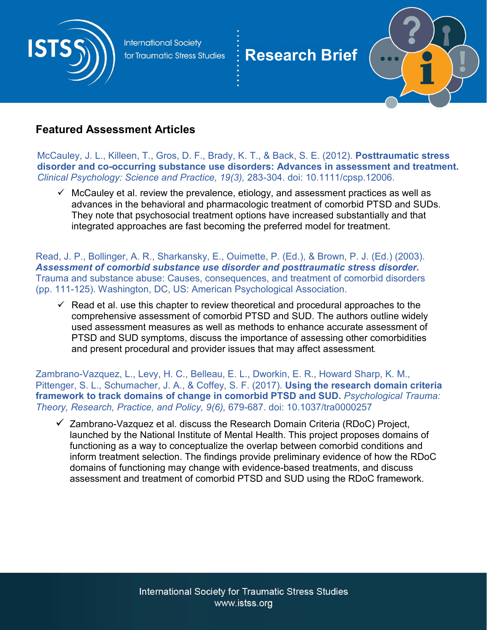<span id="page-2-0"></span>

## **Research Brief**



#### **Featured Assessment Articles**

McCauley, J. L., Killeen, T., Gros, D. F., Brady, K. T., & Back, S. E. (2012). **Posttraumatic stress disorder and co-occurring substance use disorders: Advances in assessment and treatment.**  *Clinical Psychology: Science and Practice, 19(3),* 283-304. doi: 10.1111/cpsp.12006.

 $\checkmark$  McCauley et al. review the prevalence, etiology, and assessment practices as well as advances in the behavioral and pharmacologic treatment of comorbid PTSD and SUDs. They note that psychosocial treatment options have increased substantially and that integrated approaches are fast becoming the preferred model for treatment.

Read, J. P., Bollinger, A. R., Sharkansky, E., Ouimette, P. (Ed.), & Brown, P. J. (Ed.) (2003). *Assessment of comorbid substance use disorder and posttraumatic stress disorder.* Trauma and substance abuse: Causes, consequences, and treatment of comorbid disorders (pp. 111-125). Washington, DC, US: American Psychological Association.

 $\checkmark$  Read et al. use this chapter to review theoretical and procedural approaches to the comprehensive assessment of comorbid PTSD and SUD. The authors outline widely used assessment measures as well as methods to enhance accurate assessment of PTSD and SUD symptoms, discuss the importance of assessing other comorbidities and present procedural and provider issues that may affect assessment.

Zambrano-Vazquez, L., Levy, H. C., Belleau, E. L., Dworkin, E. R., Howard Sharp, K. M., Pittenger, S. L., Schumacher, J. A., & Coffey, S. F. (2017). **Using the research domain criteria framework to track domains of change in comorbid PTSD and SUD.** *Psychological Trauma: Theory, Research, Practice, and Policy, 9(6),* 679-687. doi: 10.1037/tra0000257

 $\checkmark$  Zambrano-Vazquez et al. discuss the Research Domain Criteria (RDoC) Project, launched by the National Institute of Mental Health. This project proposes domains of functioning as a way to conceptualize the overlap between comorbid conditions and inform treatment selection. The findings provide preliminary evidence of how the RDoC domains of functioning may change with evidence-based treatments, and discuss assessment and treatment of comorbid PTSD and SUD using the RDoC framework.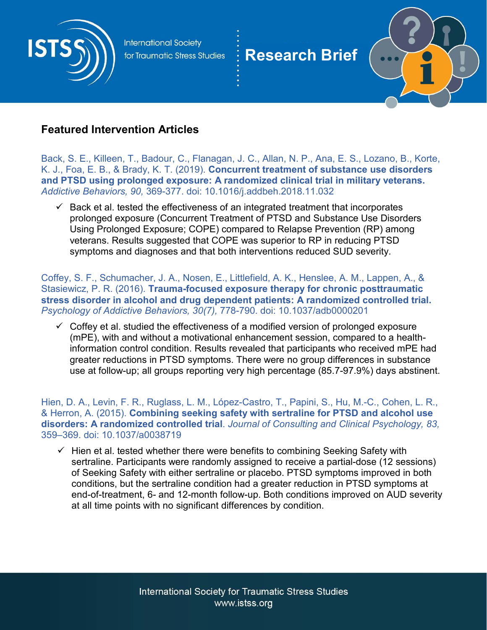<span id="page-3-0"></span>

## **Research Brief**



#### **Featured Intervention Articles**

Back, S. E., Killeen, T., Badour, C., Flanagan, J. C., Allan, N. P., Ana, E. S., Lozano, B., Korte, K. J., Foa, E. B., & Brady, K. T. (2019). **Concurrent treatment of substance use disorders and PTSD using prolonged exposure: A randomized clinical trial in military veterans.** *Addictive Behaviors, 90,* 369-377. doi: 10.1016/j.addbeh.2018.11.032

 $\checkmark$  Back et al. tested the effectiveness of an integrated treatment that incorporates prolonged exposure (Concurrent Treatment of PTSD and Substance Use Disorders Using Prolonged Exposure; COPE) compared to Relapse Prevention (RP) among veterans. Results suggested that COPE was superior to RP in reducing PTSD symptoms and diagnoses and that both interventions reduced SUD severity.

Coffey, S. F., Schumacher, J. A., Nosen, E., Littlefield, A. K., Henslee, A. M., Lappen, A., & Stasiewicz, P. R. (2016). **Trauma-focused exposure therapy for chronic posttraumatic stress disorder in alcohol and drug dependent patients: A randomized controlled trial.** *Psychology of Addictive Behaviors, 30(7),* 778-790. doi: 10.1037/adb0000201

 $\checkmark$  Coffey et al. studied the effectiveness of a modified version of prolonged exposure (mPE), with and without a motivational enhancement session, compared to a healthinformation control condition. Results revealed that participants who received mPE had greater reductions in PTSD symptoms. There were no group differences in substance use at follow-up; all groups reporting very high percentage (85.7-97.9%) days abstinent.

Hien, D. A., Levin, F. R., Ruglass, L. M., López-Castro, T., Papini, S., Hu, M.-C., Cohen, L. R., & Herron, A. (2015). **Combining seeking safety with sertraline for PTSD and alcohol use disorders: A randomized controlled trial**. *Journal of Consulting and Clinical Psychology, 83,* 359–369. doi: 10.1037/a0038719

 $\checkmark$  Hien et al. tested whether there were benefits to combining Seeking Safety with sertraline. Participants were randomly assigned to receive a partial-dose (12 sessions) of Seeking Safety with either sertraline or placebo. PTSD symptoms improved in both conditions, but the sertraline condition had a greater reduction in PTSD symptoms at end-of-treatment, 6- and 12-month follow-up. Both conditions improved on AUD severity at all time points with no significant differences by condition.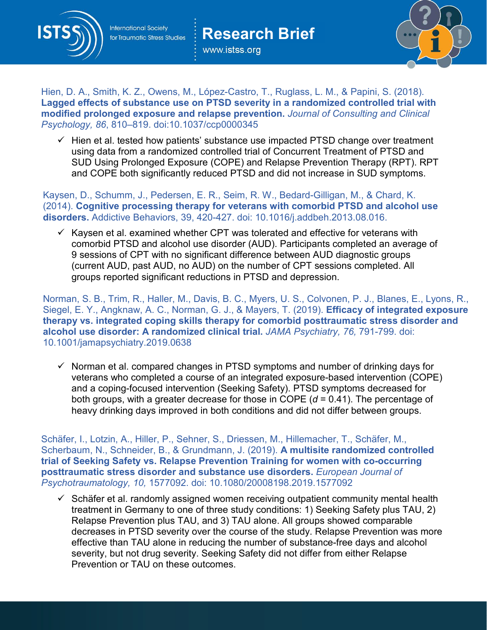

www.istss.org

**Research Brief**



Hien, D. A., Smith, K. Z., Owens, M., López-Castro, T., Ruglass, L. M., & Papini, S. (2018). **Lagged effects of substance use on PTSD severity in a randomized controlled trial with modified prolonged exposure and relapse prevention.** *Journal of Consulting and Clinical Psychology, 86*, 810–819. doi:10.1037/ccp0000345

 $\checkmark$  Hien et al. tested how patients' substance use impacted PTSD change over treatment using data from a randomized controlled trial of Concurrent Treatment of PTSD and SUD Using Prolonged Exposure (COPE) and Relapse Prevention Therapy (RPT). RPT and COPE both significantly reduced PTSD and did not increase in SUD symptoms.

Kaysen, D., Schumm, J., Pedersen, E. R., Seim, R. W., Bedard-Gilligan, M., & Chard, K. (2014). **Cognitive processing therapy for veterans with comorbid PTSD and alcohol use disorders.** Addictive Behaviors, 39, 420-427. doi: 10.1016/j.addbeh.2013.08.016.

 $\checkmark$  Kaysen et al. examined whether CPT was tolerated and effective for veterans with comorbid PTSD and alcohol use disorder (AUD). Participants completed an average of 9 sessions of CPT with no significant difference between AUD diagnostic groups (current AUD, past AUD, no AUD) on the number of CPT sessions completed. All groups reported significant reductions in PTSD and depression.

Norman, S. B., Trim, R., Haller, M., Davis, B. C., Myers, U. S., Colvonen, P. J., Blanes, E., Lyons, R., Siegel, E. Y., Angknaw, A. C., Norman, G. J., & Mayers, T. (2019). **Efficacy of integrated exposure therapy vs. integrated coping skills therapy for comorbid posttraumatic stress disorder and alcohol use disorder: A randomized clinical trial.** *JAMA Psychiatry, 76,* 791-799. doi: 10.1001/jamapsychiatry.2019.0638

 $\checkmark$  Norman et al. compared changes in PTSD symptoms and number of drinking days for veterans who completed a course of an integrated exposure-based intervention (COPE) and a coping-focused intervention (Seeking Safety). PTSD symptoms decreased for both groups, with a greater decrease for those in COPE (*d* = 0.41). The percentage of heavy drinking days improved in both conditions and did not differ between groups.

Schäfer, I., Lotzin, A., Hiller, P., Sehner, S., Driessen, M., Hillemacher, T., Schäfer, M., Scherbaum, N., Schneider, B., & Grundmann, J. (2019). **A multisite randomized controlled trial of Seeking Safety vs. Relapse Prevention Training for women with co-occurring posttraumatic stress disorder and substance use disorders.** *European Journal of Psychotraumatology, 10,* 1577092. doi: 10.1080/20008198.2019.1577092

 $\checkmark$  Schäfer et al. randomly assigned women receiving outpatient community mental health treatment in Germany to one of three study conditions: 1) Seeking Safety plus TAU, 2) Relapse Prevention plus TAU, and 3) TAU alone. All groups showed comparable decreases in PTSD severity over the course of the study. Relapse Prevention was more effective than TAU alone in reducing the number of substance-free days and alcohol severity, but not drug severity. Seeking Safety did not differ from either Relapse Prevention or TAU on these outcomes.